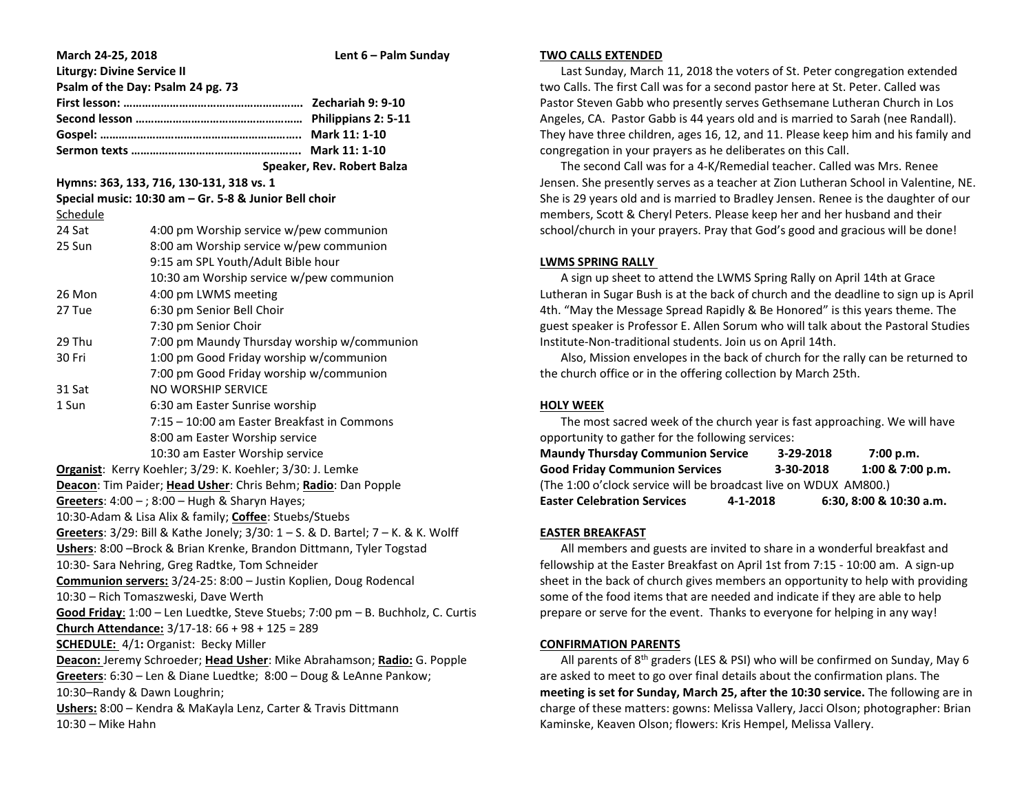| March 24-25, 2018                                                                                 |                                                                  | Lent 6 - Palm Sunday       |  |  |
|---------------------------------------------------------------------------------------------------|------------------------------------------------------------------|----------------------------|--|--|
| <b>Liturgy: Divine Service II</b>                                                                 |                                                                  |                            |  |  |
|                                                                                                   | Psalm of the Day: Psalm 24 pg. 73                                |                            |  |  |
|                                                                                                   |                                                                  |                            |  |  |
|                                                                                                   |                                                                  |                            |  |  |
|                                                                                                   |                                                                  |                            |  |  |
|                                                                                                   |                                                                  |                            |  |  |
|                                                                                                   |                                                                  | Speaker, Rev. Robert Balza |  |  |
| Hymns: 363, 133, 716, 130-131, 318 vs. 1<br>Special music: 10:30 am - Gr. 5-8 & Junior Bell choir |                                                                  |                            |  |  |
| Schedule                                                                                          |                                                                  |                            |  |  |
| 24 Sat                                                                                            | 4:00 pm Worship service w/pew communion                          |                            |  |  |
| 25 Sun                                                                                            | 8:00 am Worship service w/pew communion                          |                            |  |  |
|                                                                                                   | 9:15 am SPL Youth/Adult Bible hour                               |                            |  |  |
|                                                                                                   |                                                                  |                            |  |  |
| 26 Mon                                                                                            | 10:30 am Worship service w/pew communion<br>4:00 pm LWMS meeting |                            |  |  |
| 27 Tue                                                                                            | 6:30 pm Senior Bell Choir                                        |                            |  |  |
|                                                                                                   | 7:30 pm Senior Choir                                             |                            |  |  |
| 29 Thu                                                                                            | 7:00 pm Maundy Thursday worship w/communion                      |                            |  |  |
| 30 Fri                                                                                            | 1:00 pm Good Friday worship w/communion                          |                            |  |  |
|                                                                                                   | 7:00 pm Good Friday worship w/communion                          |                            |  |  |
| 31 Sat                                                                                            | NO WORSHIP SERVICE                                               |                            |  |  |
| 1 Sun                                                                                             | 6:30 am Easter Sunrise worship                                   |                            |  |  |
|                                                                                                   | 7:15 - 10:00 am Easter Breakfast in Commons                      |                            |  |  |
|                                                                                                   | 8:00 am Easter Worship service                                   |                            |  |  |
|                                                                                                   | 10:30 am Easter Worship service                                  |                            |  |  |
|                                                                                                   | Organist: Kerry Koehler; 3/29: K. Koehler; 3/30: J. Lemke        |                            |  |  |
| Deacon: Tim Paider; Head Usher: Chris Behm; Radio: Dan Popple                                     |                                                                  |                            |  |  |
|                                                                                                   | Greeters: $4:00 - 3:00 - Hugh$ & Sharyn Hayes;                   |                            |  |  |
| 10:30-Adam & Lisa Alix & family; Coffee: Stuebs/Stuebs                                            |                                                                  |                            |  |  |
| Greeters: 3/29: Bill & Kathe Jonely; 3/30: 1 - S. & D. Bartel; 7 - K. & K. Wolff                  |                                                                  |                            |  |  |
| Ushers: 8:00 - Brock & Brian Krenke, Brandon Dittmann, Tyler Togstad                              |                                                                  |                            |  |  |
| 10:30- Sara Nehring, Greg Radtke, Tom Schneider                                                   |                                                                  |                            |  |  |
| Communion servers: 3/24-25: 8:00 - Justin Koplien, Doug Rodencal                                  |                                                                  |                            |  |  |
| 10:30 - Rich Tomaszweski, Dave Werth                                                              |                                                                  |                            |  |  |
| Good Friday: 1:00 - Len Luedtke, Steve Stuebs; 7:00 pm - B. Buchholz, C. Curtis                   |                                                                  |                            |  |  |
|                                                                                                   | Church Attendance: 3/17-18: 66 + 98 + 125 = 289                  |                            |  |  |
|                                                                                                   | <b>SCHEDULE:</b> 4/1: Organist: Becky Miller                     |                            |  |  |
| Deacon: Jeremy Schroeder; Head Usher: Mike Abrahamson; Radio: G. Popple                           |                                                                  |                            |  |  |
| Greeters: 6:30 - Len & Diane Luedtke; 8:00 - Doug & LeAnne Pankow;                                |                                                                  |                            |  |  |
| 10:30-Randy & Dawn Loughrin;                                                                      |                                                                  |                            |  |  |
| Ushers: 8:00 - Kendra & MaKayla Lenz, Carter & Travis Dittmann                                    |                                                                  |                            |  |  |
| 10:30 - Mike Hahn                                                                                 |                                                                  |                            |  |  |
|                                                                                                   |                                                                  |                            |  |  |

#### **TWO CALLS EXTENDED**

 Last Sunday, March 11, 2018 the voters of St. Peter congregation extended two Calls. The first Call was for a second pastor here at St. Peter. Called was Pastor Steven Gabb who presently serves Gethsemane Lutheran Church in Los Angeles, CA. Pastor Gabb is 44 years old and is married to Sarah (nee Randall). They have three children, ages 16, 12, and 11. Please keep him and his family and congregation in your prayers as he deliberates on this Call.

 The second Call was for a 4-K/Remedial teacher. Called was Mrs. Renee Jensen. She presently serves as a teacher at Zion Lutheran School in Valentine, NE. She is 29 years old and is married to Bradley Jensen. Renee is the daughter of our members, Scott & Cheryl Peters. Please keep her and her husband and their school/church in your prayers. Pray that God's good and gracious will be done!

## **LWMS SPRING RALLY**

 A sign up sheet to attend the LWMS Spring Rally on April 14th at Grace Lutheran in Sugar Bush is at the back of church and the deadline to sign up is April 4th. "May the Message Spread Rapidly & Be Honored" is this years theme. The guest speaker is Professor E. Allen Sorum who will talk about the Pastoral Studies Institute-Non-traditional students. Join us on April 14th.

 Also, Mission envelopes in the back of church for the rally can be returned to the church office or in the offering collection by March 25th.

# **HOLY WEEK**

 The most sacred week of the church year is fast approaching. We will have opportunity to gather for the following services:

| <b>Maundy Thursday Communion Service</b>                         |           | 3-29-2018 | 7:00 p.m.               |  |  |  |
|------------------------------------------------------------------|-----------|-----------|-------------------------|--|--|--|
| <b>Good Friday Communion Services</b>                            | 3-30-2018 |           | 1:00 & 7:00 p.m.        |  |  |  |
| (The 1:00 o'clock service will be broadcast live on WDUX AM800.) |           |           |                         |  |  |  |
| <b>Easter Celebration Services</b>                               | 4-1-2018  |           | 6:30, 8:00 & 10:30 a.m. |  |  |  |

# **EASTER BREAKFAST**

 All members and guests are invited to share in a wonderful breakfast and fellowship at the Easter Breakfast on April 1st from 7:15 - 10:00 am. A sign-up sheet in the back of church gives members an opportunity to help with providing some of the food items that are needed and indicate if they are able to help prepare or serve for the event. Thanks to everyone for helping in any way!

### **CONFIRMATION PARENTS**

All parents of  $8<sup>th</sup>$  graders (LES & PSI) who will be confirmed on Sunday, May 6 are asked to meet to go over final details about the confirmation plans. The **meeting is set for Sunday, March 25, after the 10:30 service.** The following are in charge of these matters: gowns: Melissa Vallery, Jacci Olson; photographer: Brian Kaminske, Keaven Olson; flowers: Kris Hempel, Melissa Vallery.